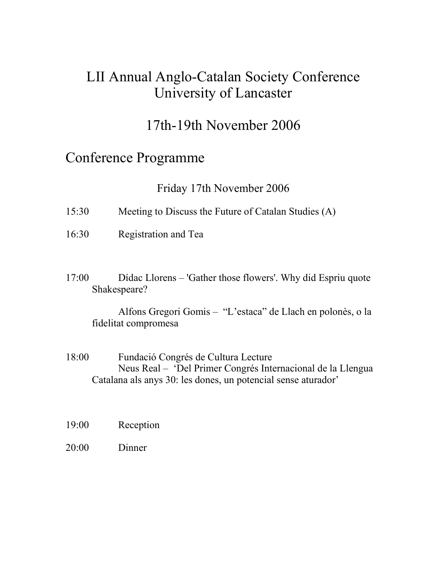### LII Annual Anglo-Catalan Society Conference University of Lancaster

## 17th-19th November 2006

#### Conference Programme

Friday 17th November 2006

- 15:30 Meeting to Discuss the Future of Catalan Studies (A)
- 16:30 Registration and Tea
- 17:00 Dídac Llorens 'Gather those flowers'. Why did Espriu quote Shakespeare?

 Alfons Gregori Gomis – "L'estaca" de Llach en polonès, o la fidelitat compromesa

- 18:00 Fundació Congrés de Cultura Lecture Neus Real – 'Del Primer Congrés Internacional de la Llengua Catalana als anys 30: les dones, un potencial sense aturador'
- 19:00 Reception
- 20:00 Dinner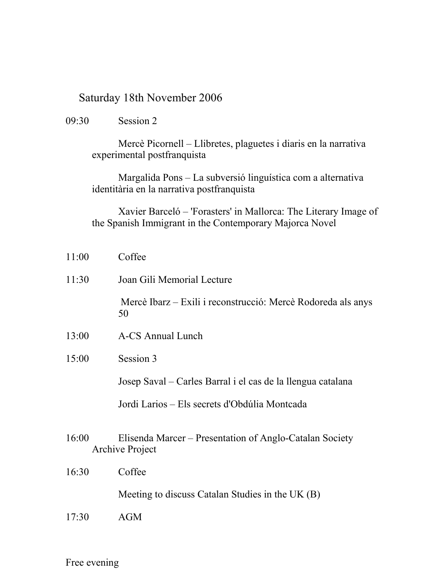#### Saturday 18th November 2006

09:30 Session 2

 Mercè Picornell – Llibretes, plaguetes i diaris en la narrativa experimental postfranquista

 Margalida Pons – La subversió linguística com a alternativa identitària en la narrativa postfranquista

 Xavier Barceló – 'Forasters' in Mallorca: The Literary Image of the Spanish Immigrant in the Contemporary Majorca Novel

| 11:00 | Coffee                                                                            |
|-------|-----------------------------------------------------------------------------------|
| 11:30 | Joan Gili Memorial Lecture                                                        |
|       | Mercè Ibarz – Exili i reconstrucció: Mercè Rodoreda als anys<br>50                |
| 13:00 | <b>A-CS Annual Lunch</b>                                                          |
| 15:00 | Session 3                                                                         |
|       | Josep Saval – Carles Barral i el cas de la llengua catalana                       |
|       | Jordi Larios – Els secrets d'Obdúlia Montcada                                     |
| 16:00 | Elisenda Marcer – Presentation of Anglo-Catalan Society<br><b>Archive Project</b> |
| 16:30 | Coffee                                                                            |
|       | Meeting to discuss Catalan Studies in the UK (B)                                  |
| 17:30 | <b>AGM</b>                                                                        |